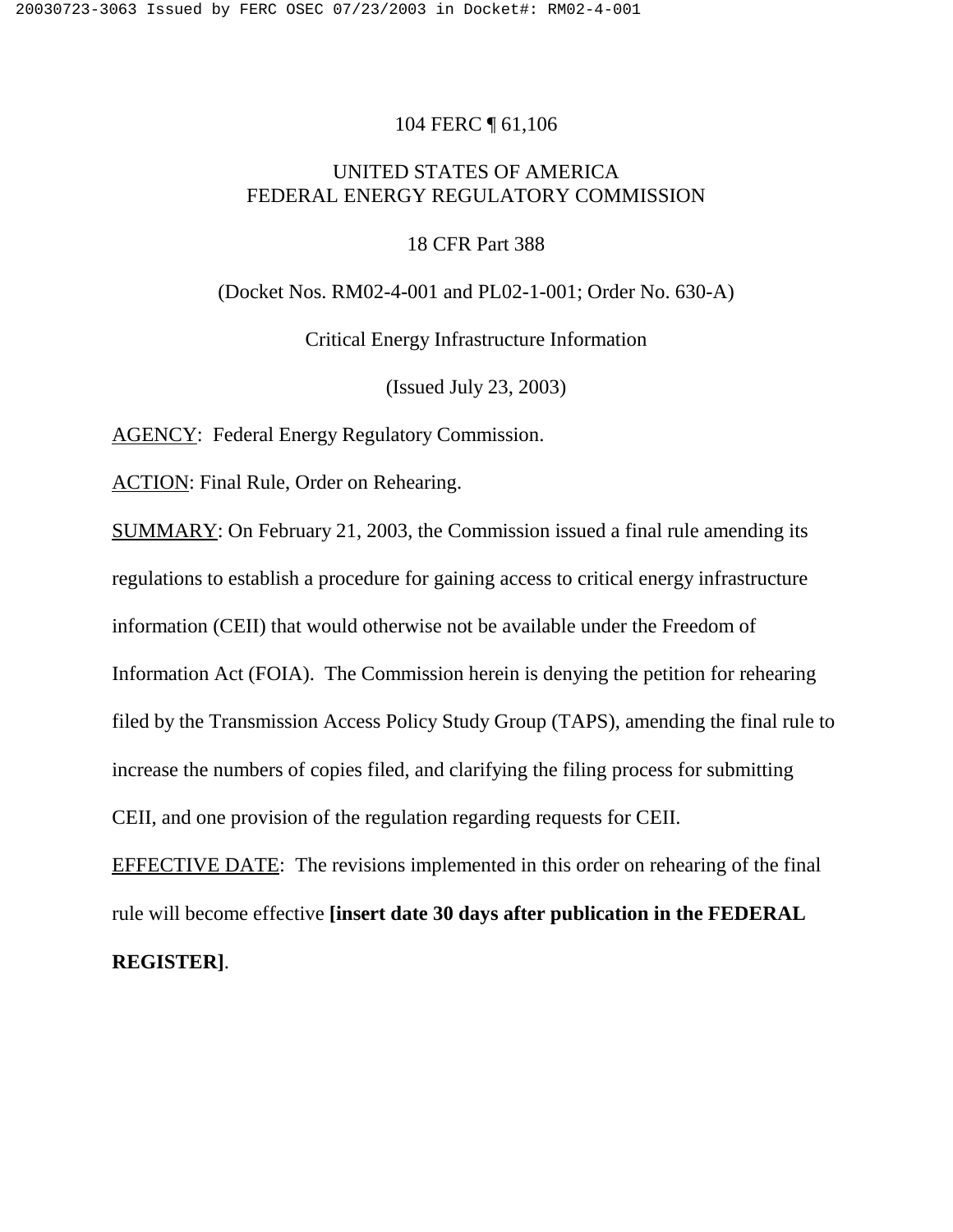### 104 FERC ¶ 61,106

# UNITED STATES OF AMERICA FEDERAL ENERGY REGULATORY COMMISSION

#### 18 CFR Part 388

(Docket Nos. RM02-4-001 and PL02-1-001; Order No. 630-A)

#### Critical Energy Infrastructure Information

(Issued July 23, 2003)

AGENCY: Federal Energy Regulatory Commission.

ACTION: Final Rule, Order on Rehearing.

SUMMARY: On February 21, 2003, the Commission issued a final rule amending its regulations to establish a procedure for gaining access to critical energy infrastructure information (CEII) that would otherwise not be available under the Freedom of Information Act (FOIA). The Commission herein is denying the petition for rehearing filed by the Transmission Access Policy Study Group (TAPS), amending the final rule to increase the numbers of copies filed, and clarifying the filing process for submitting CEII, and one provision of the regulation regarding requests for CEII.

EFFECTIVE DATE: The revisions implemented in this order on rehearing of the final rule will become effective **[insert date 30 days after publication in the FEDERAL REGISTER]**.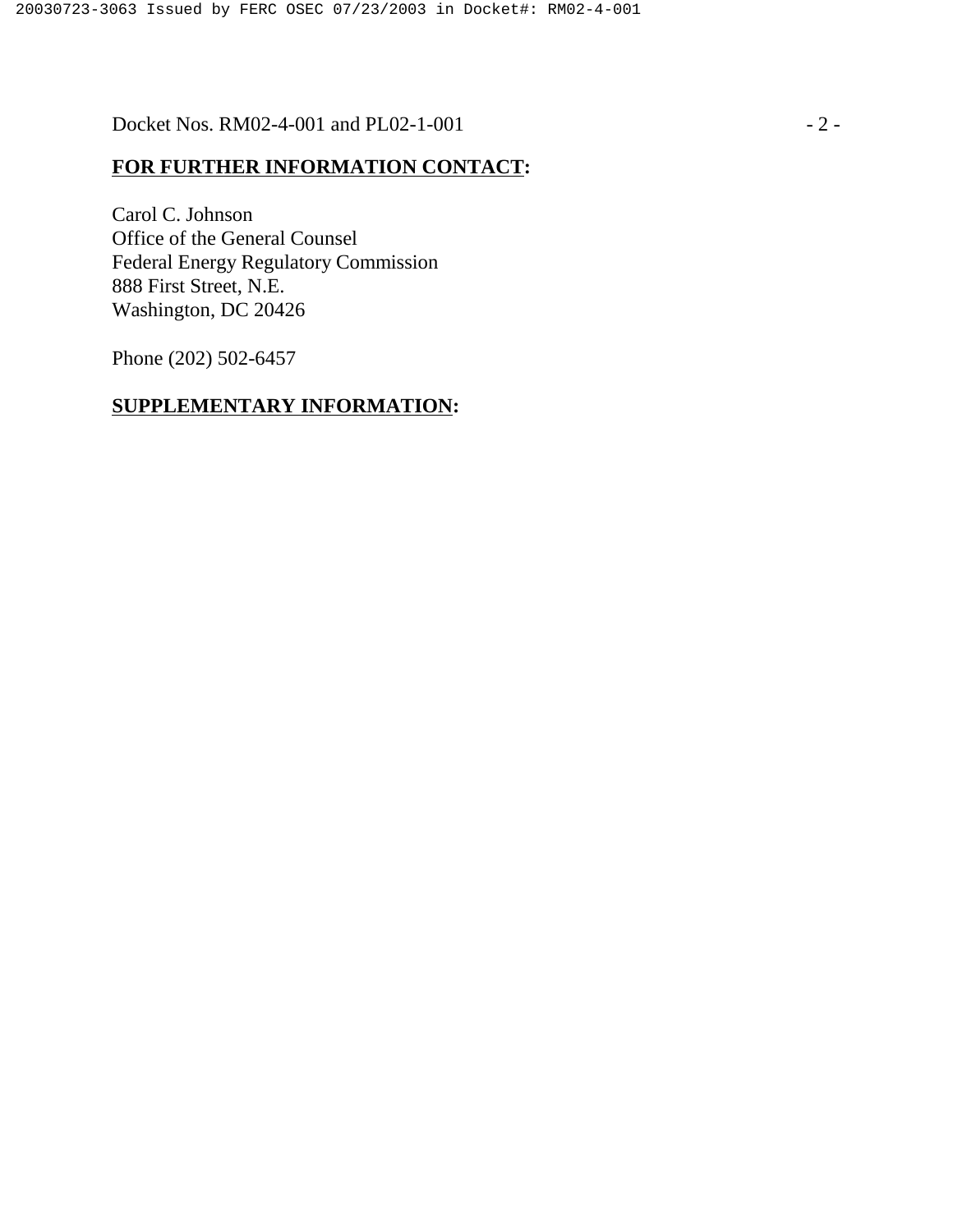Docket Nos. RM02-4-001 and PL02-1-001 - 2 -

# **FOR FURTHER INFORMATION CONTACT:**

Carol C. Johnson Office of the General Counsel Federal Energy Regulatory Commission 888 First Street, N.E. Washington, DC 20426

Phone (202) 502-6457

# **SUPPLEMENTARY INFORMATION:**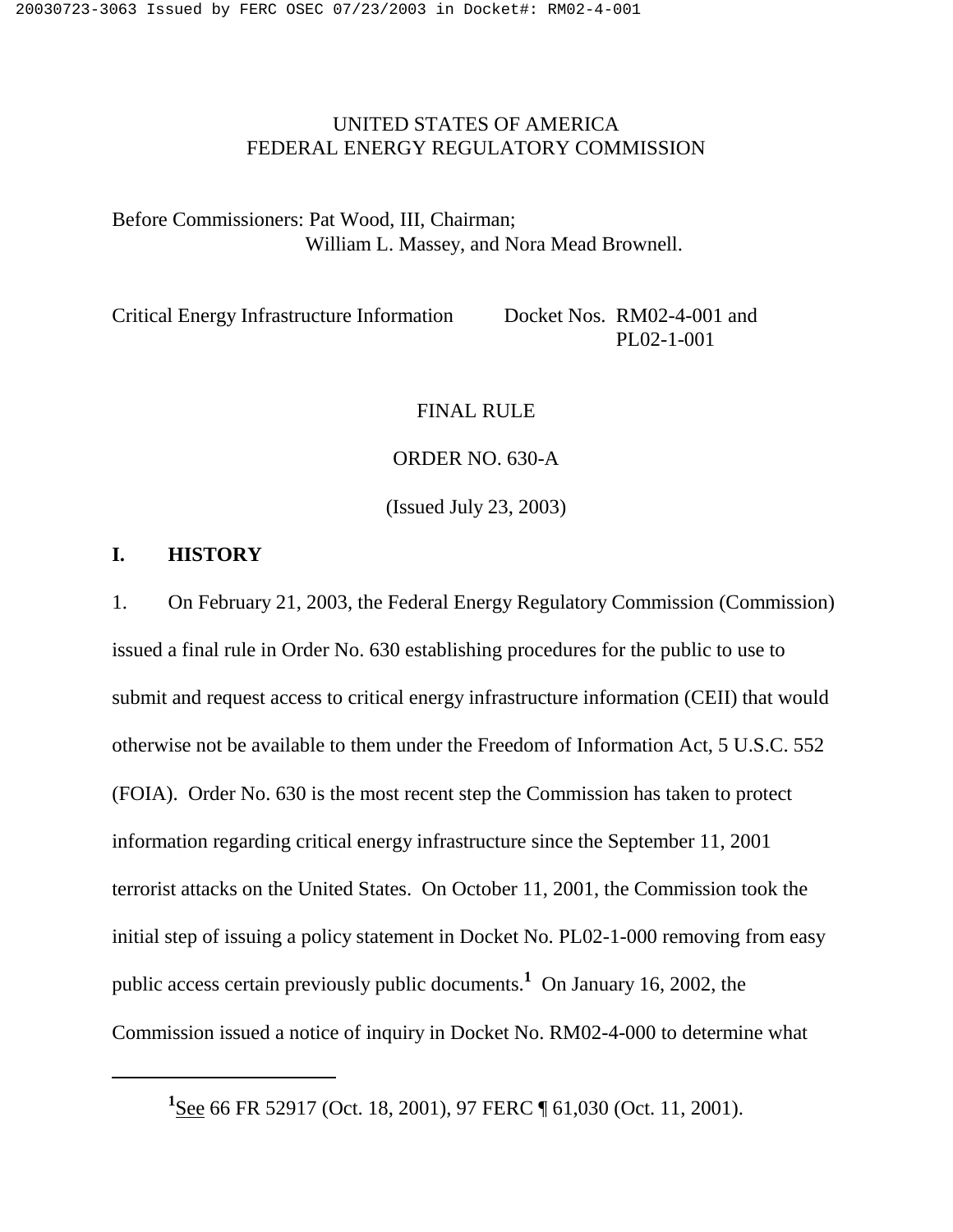# UNITED STATES OF AMERICA FEDERAL ENERGY REGULATORY COMMISSION

Before Commissioners: Pat Wood, III, Chairman; William L. Massey, and Nora Mead Brownell.

Critical Energy Infrastructure Information Docket Nos. RM02-4-001 and PL02-1-001

#### FINAL RULE

ORDER NO. 630-A

(Issued July 23, 2003)

## **I. HISTORY**

1. On February 21, 2003, the Federal Energy Regulatory Commission (Commission) issued a final rule in Order No. 630 establishing procedures for the public to use to submit and request access to critical energy infrastructure information (CEII) that would otherwise not be available to them under the Freedom of Information Act, 5 U.S.C. 552 (FOIA). Order No. 630 is the most recent step the Commission has taken to protect information regarding critical energy infrastructure since the September 11, 2001 terrorist attacks on the United States. On October 11, 2001, the Commission took the initial step of issuing a policy statement in Docket No. PL02-1-000 removing from easy public access certain previously public documents.**<sup>1</sup>** On January 16, 2002, the Commission issued a notice of inquiry in Docket No. RM02-4-000 to determine what

<sup>&</sup>lt;sup>1</sup>See 66 FR 52917 (Oct. 18, 2001), 97 FERC ¶ 61,030 (Oct. 11, 2001).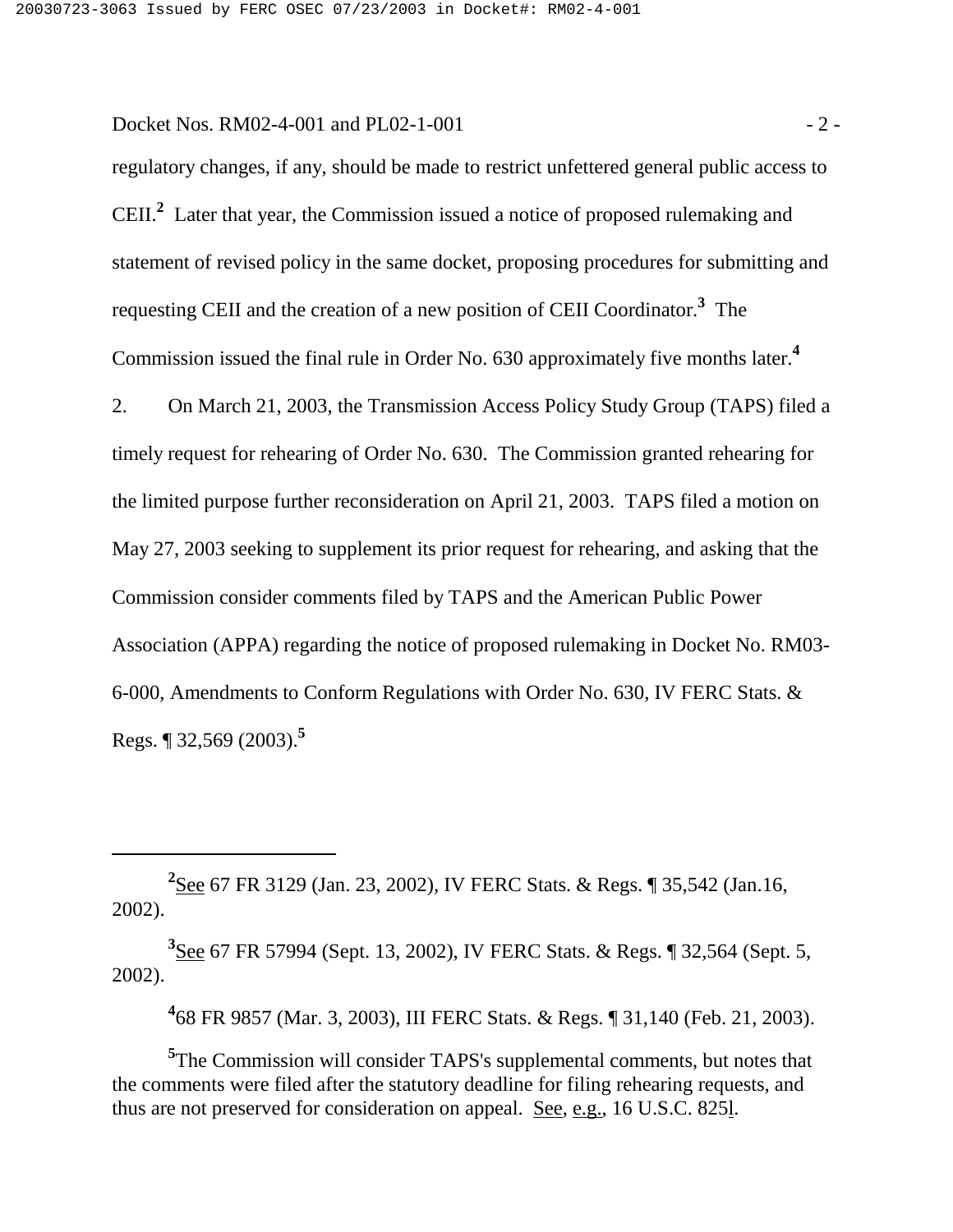Docket Nos. RM02-4-001 and PL02-1-001  $-2$  -

regulatory changes, if any, should be made to restrict unfettered general public access to CEII.**<sup>2</sup>** Later that year, the Commission issued a notice of proposed rulemaking and statement of revised policy in the same docket, proposing procedures for submitting and requesting CEII and the creation of a new position of CEII Coordinator.**<sup>3</sup>** The Commission issued the final rule in Order No. 630 approximately five months later.**<sup>4</sup>**

2. On March 21, 2003, the Transmission Access Policy Study Group (TAPS) filed a timely request for rehearing of Order No. 630. The Commission granted rehearing for the limited purpose further reconsideration on April 21, 2003. TAPS filed a motion on May 27, 2003 seeking to supplement its prior request for rehearing, and asking that the Commission consider comments filed by TAPS and the American Public Power Association (APPA) regarding the notice of proposed rulemaking in Docket No. RM03- 6-000, Amendments to Conform Regulations with Order No. 630, IV FERC Stats. & Regs. ¶ 32,569 (2003).**<sup>5</sup>**

**3** See 67 FR 57994 (Sept. 13, 2002), IV FERC Stats. & Regs. ¶ 32,564 (Sept. 5, 2002).

**4** 68 FR 9857 (Mar. 3, 2003), III FERC Stats. & Regs. ¶ 31,140 (Feb. 21, 2003).

**5** The Commission will consider TAPS's supplemental comments, but notes that the comments were filed after the statutory deadline for filing rehearing requests, and thus are not preserved for consideration on appeal. See, e.g., 16 U.S.C. 825l.

**<sup>2</sup>** See 67 FR 3129 (Jan. 23, 2002), IV FERC Stats. & Regs. ¶ 35,542 (Jan.16, 2002).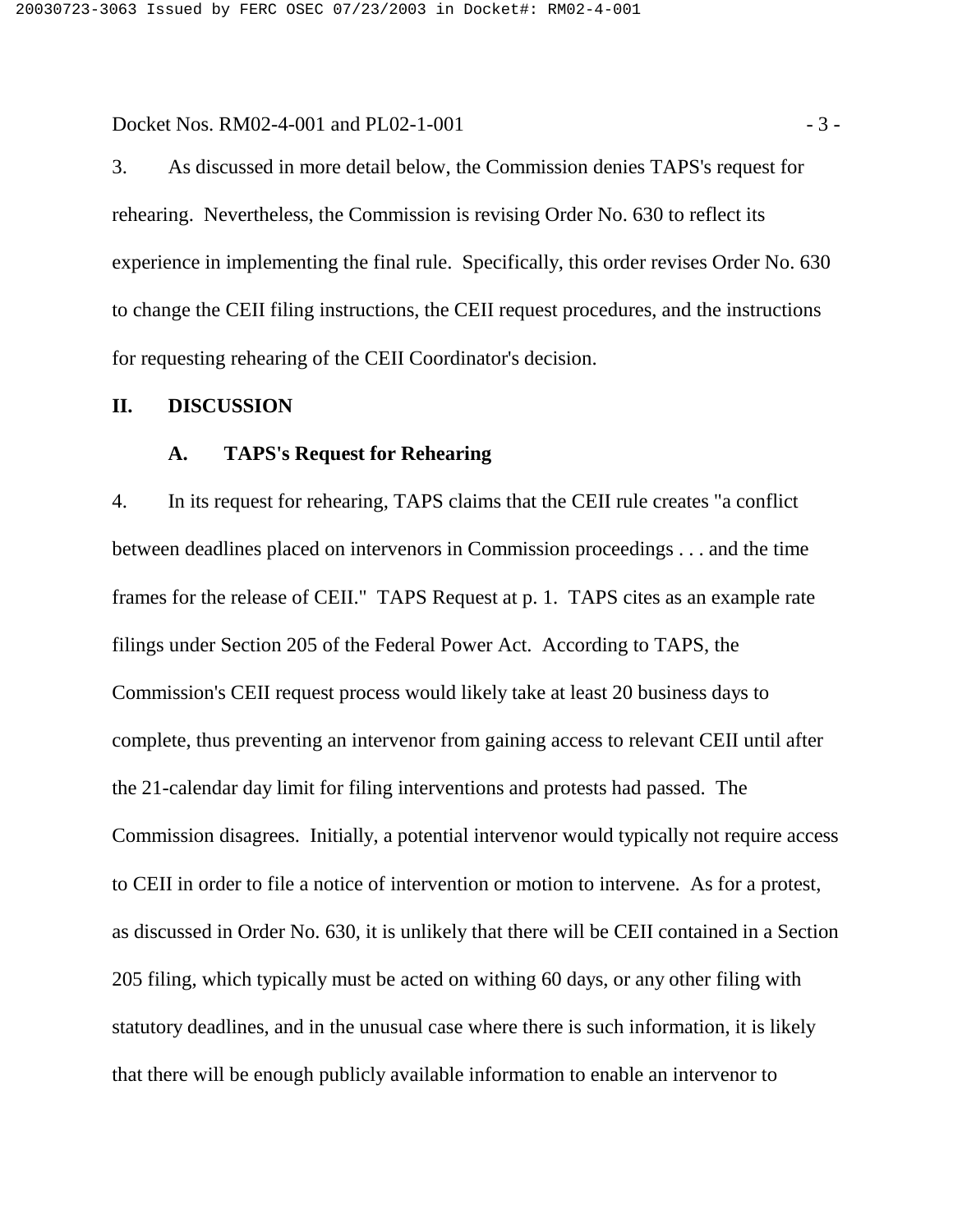Docket Nos. RM02-4-001 and PL02-1-001 - 3 -

3. As discussed in more detail below, the Commission denies TAPS's request for rehearing. Nevertheless, the Commission is revising Order No. 630 to reflect its experience in implementing the final rule. Specifically, this order revises Order No. 630 to change the CEII filing instructions, the CEII request procedures, and the instructions for requesting rehearing of the CEII Coordinator's decision.

#### **II. DISCUSSION**

#### **A. TAPS's Request for Rehearing**

4. In its request for rehearing, TAPS claims that the CEII rule creates "a conflict between deadlines placed on intervenors in Commission proceedings . . . and the time frames for the release of CEII." TAPS Request at p. 1. TAPS cites as an example rate filings under Section 205 of the Federal Power Act. According to TAPS, the Commission's CEII request process would likely take at least 20 business days to complete, thus preventing an intervenor from gaining access to relevant CEII until after the 21-calendar day limit for filing interventions and protests had passed. The Commission disagrees. Initially, a potential intervenor would typically not require access to CEII in order to file a notice of intervention or motion to intervene. As for a protest, as discussed in Order No. 630, it is unlikely that there will be CEII contained in a Section 205 filing, which typically must be acted on withing 60 days, or any other filing with statutory deadlines, and in the unusual case where there is such information, it is likely that there will be enough publicly available information to enable an intervenor to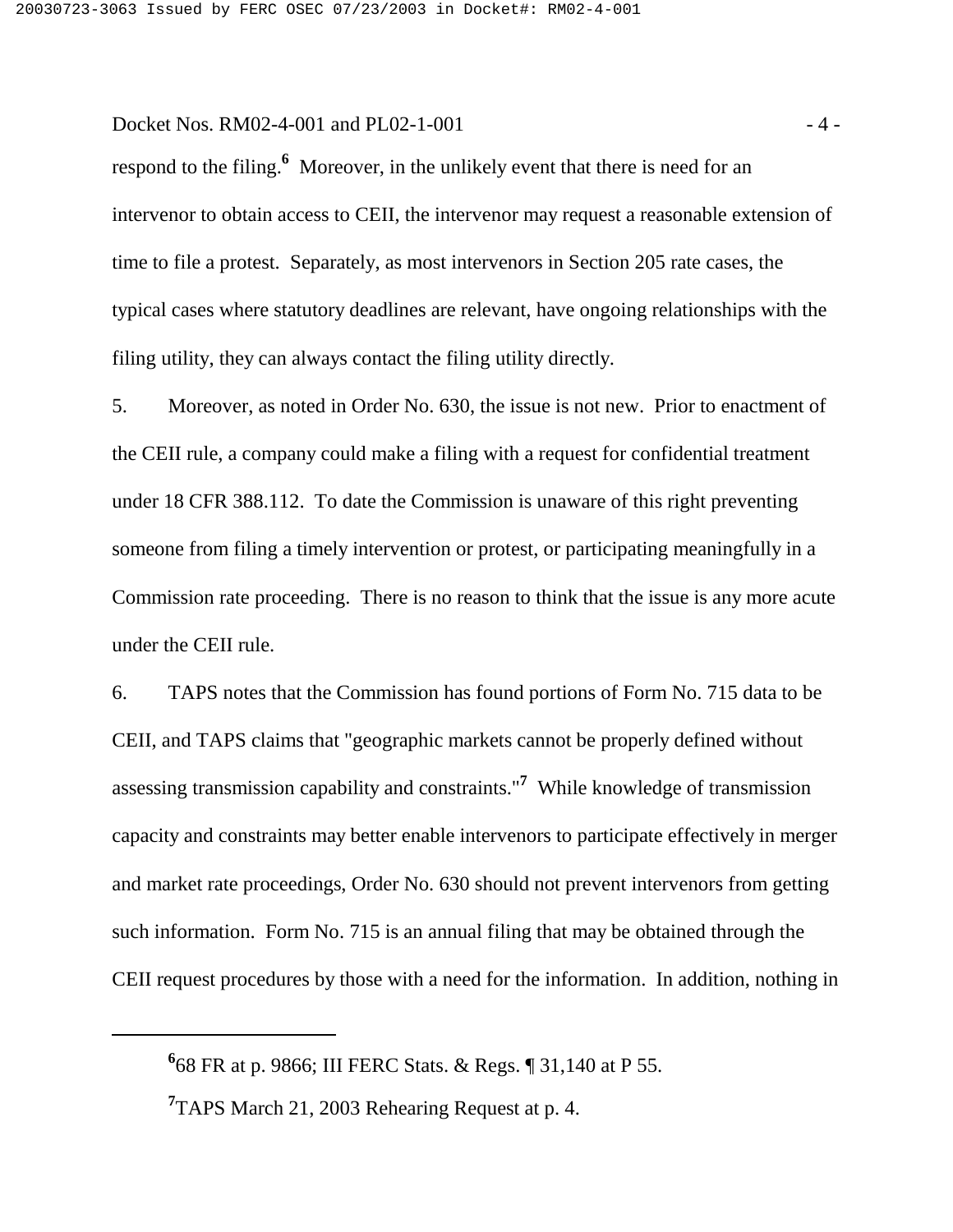Docket Nos. RM02-4-001 and PL02-1-001 - 4 -

respond to the filing.**<sup>6</sup>** Moreover, in the unlikely event that there is need for an intervenor to obtain access to CEII, the intervenor may request a reasonable extension of time to file a protest. Separately, as most intervenors in Section 205 rate cases, the typical cases where statutory deadlines are relevant, have ongoing relationships with the filing utility, they can always contact the filing utility directly.

5. Moreover, as noted in Order No. 630, the issue is not new. Prior to enactment of the CEII rule, a company could make a filing with a request for confidential treatment under 18 CFR 388.112. To date the Commission is unaware of this right preventing someone from filing a timely intervention or protest, or participating meaningfully in a Commission rate proceeding. There is no reason to think that the issue is any more acute under the CEII rule.

6. TAPS notes that the Commission has found portions of Form No. 715 data to be CEII, and TAPS claims that "geographic markets cannot be properly defined without assessing transmission capability and constraints."**<sup>7</sup>** While knowledge of transmission capacity and constraints may better enable intervenors to participate effectively in merger and market rate proceedings, Order No. 630 should not prevent intervenors from getting such information. Form No. 715 is an annual filing that may be obtained through the CEII request procedures by those with a need for the information. In addition, nothing in

**<sup>6</sup>** 68 FR at p. 9866; III FERC Stats. & Regs. ¶ 31,140 at P 55.

<sup>&</sup>lt;sup>7</sup> TAPS March 21, 2003 Rehearing Request at p. 4.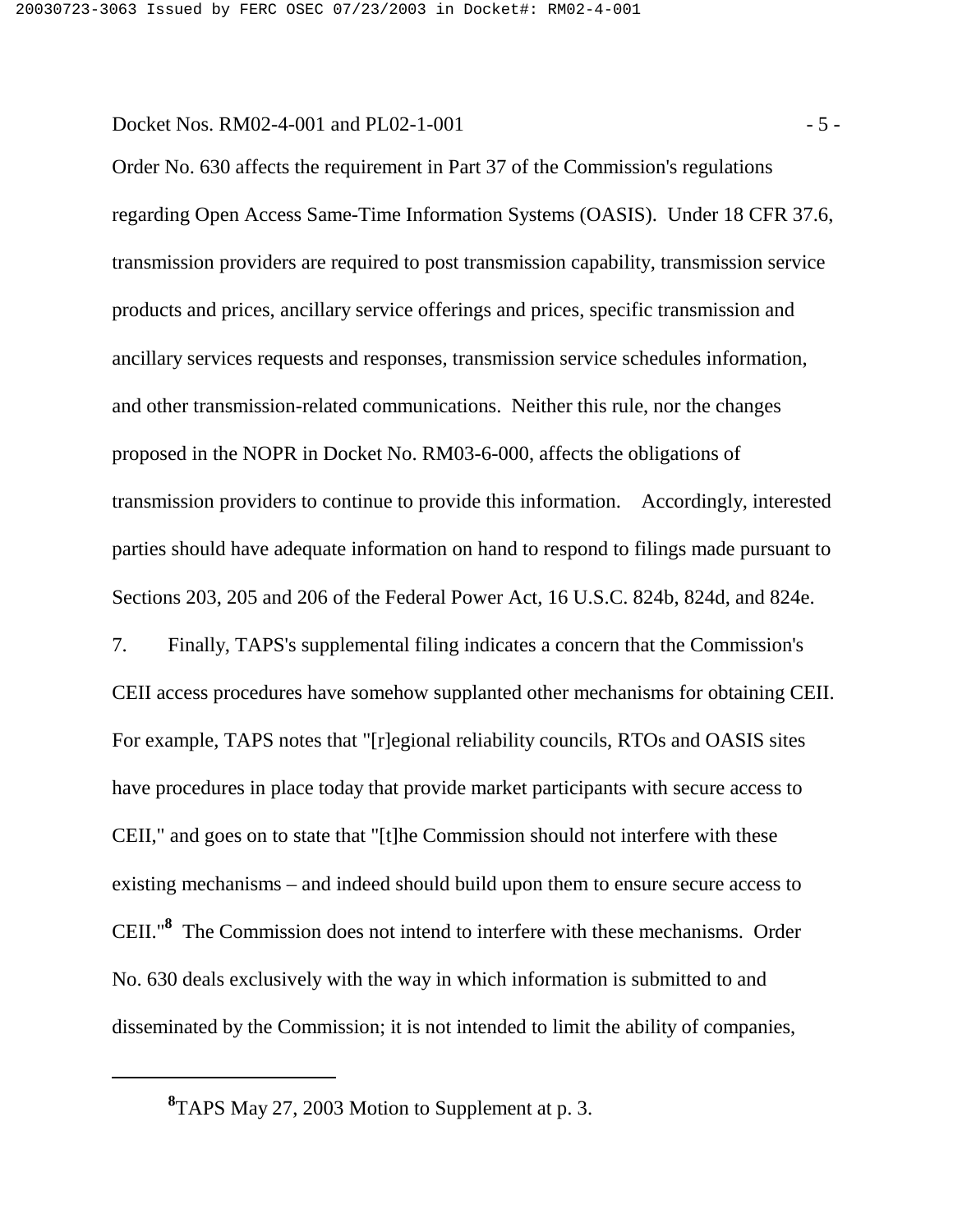Docket Nos. RM02-4-001 and PL02-1-001 - 5 -

Order No. 630 affects the requirement in Part 37 of the Commission's regulations regarding Open Access Same-Time Information Systems (OASIS). Under 18 CFR 37.6, transmission providers are required to post transmission capability, transmission service products and prices, ancillary service offerings and prices, specific transmission and ancillary services requests and responses, transmission service schedules information, and other transmission-related communications. Neither this rule, nor the changes proposed in the NOPR in Docket No. RM03-6-000, affects the obligations of transmission providers to continue to provide this information. Accordingly, interested parties should have adequate information on hand to respond to filings made pursuant to Sections 203, 205 and 206 of the Federal Power Act, 16 U.S.C. 824b, 824d, and 824e.

7. Finally, TAPS's supplemental filing indicates a concern that the Commission's CEII access procedures have somehow supplanted other mechanisms for obtaining CEII. For example, TAPS notes that "[r]egional reliability councils, RTOs and OASIS sites have procedures in place today that provide market participants with secure access to CEII," and goes on to state that "[t]he Commission should not interfere with these existing mechanisms – and indeed should build upon them to ensure secure access to CEII."**<sup>8</sup>** The Commission does not intend to interfere with these mechanisms. Order No. 630 deals exclusively with the way in which information is submitted to and disseminated by the Commission; it is not intended to limit the ability of companies,

**<sup>8</sup>** TAPS May 27, 2003 Motion to Supplement at p. 3.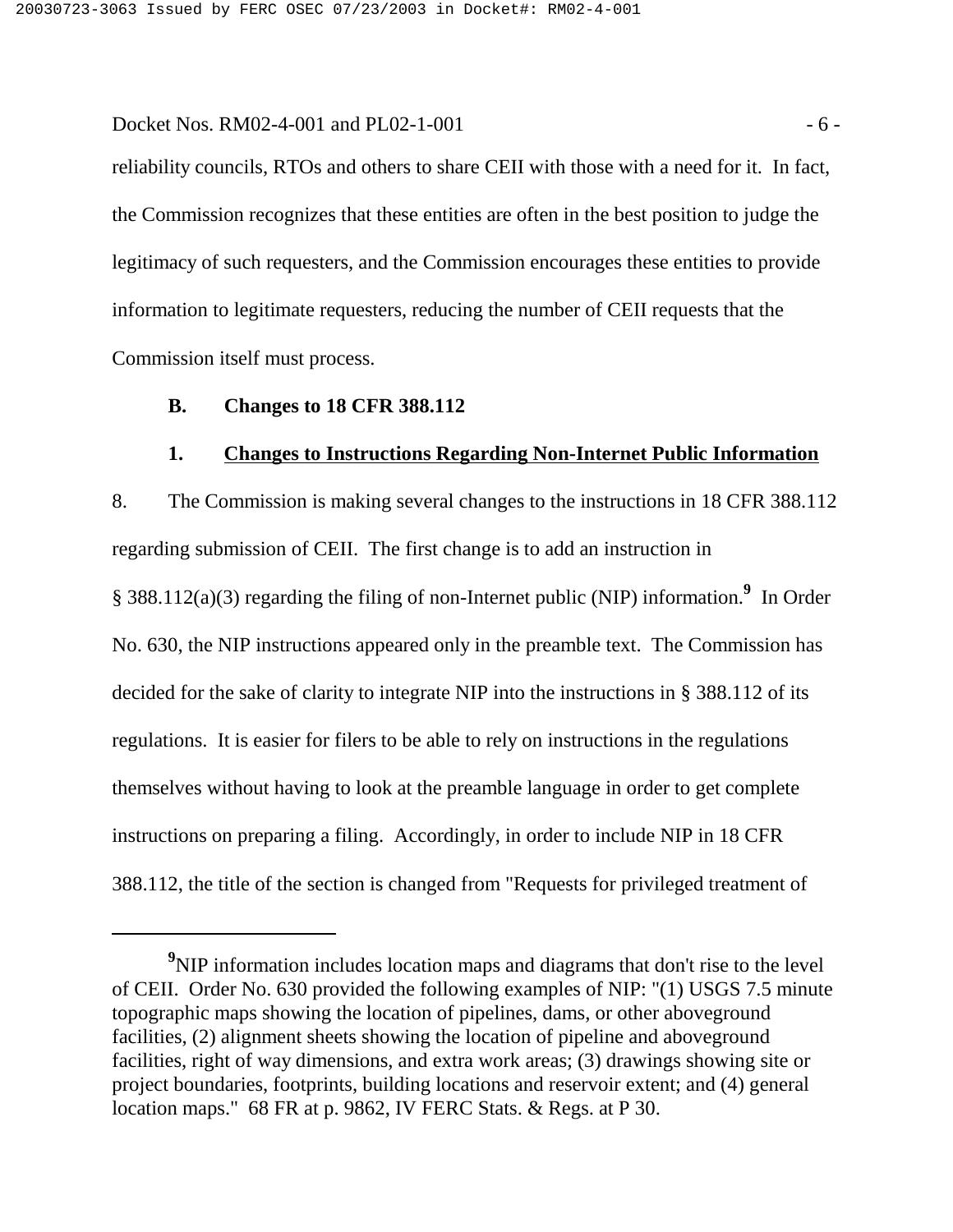Docket Nos. RM02-4-001 and PL02-1-001  $-6$  -

reliability councils, RTOs and others to share CEII with those with a need for it. In fact, the Commission recognizes that these entities are often in the best position to judge the legitimacy of such requesters, and the Commission encourages these entities to provide information to legitimate requesters, reducing the number of CEII requests that the Commission itself must process.

#### **B. Changes to 18 CFR 388.112**

#### **1. Changes to Instructions Regarding Non-Internet Public Information**

8. The Commission is making several changes to the instructions in 18 CFR 388.112 regarding submission of CEII. The first change is to add an instruction in § 388.112(a)(3) regarding the filing of non-Internet public (NIP) information.**<sup>9</sup>** In Order No. 630, the NIP instructions appeared only in the preamble text. The Commission has decided for the sake of clarity to integrate NIP into the instructions in § 388.112 of its regulations. It is easier for filers to be able to rely on instructions in the regulations themselves without having to look at the preamble language in order to get complete instructions on preparing a filing. Accordingly, in order to include NIP in 18 CFR 388.112, the title of the section is changed from "Requests for privileged treatment of

<sup>&</sup>lt;sup>9</sup>NIP information includes location maps and diagrams that don't rise to the level of CEII. Order No. 630 provided the following examples of NIP: "(1) USGS 7.5 minute topographic maps showing the location of pipelines, dams, or other aboveground facilities, (2) alignment sheets showing the location of pipeline and aboveground facilities, right of way dimensions, and extra work areas; (3) drawings showing site or project boundaries, footprints, building locations and reservoir extent; and (4) general location maps." 68 FR at p. 9862, IV FERC Stats. & Regs. at P 30.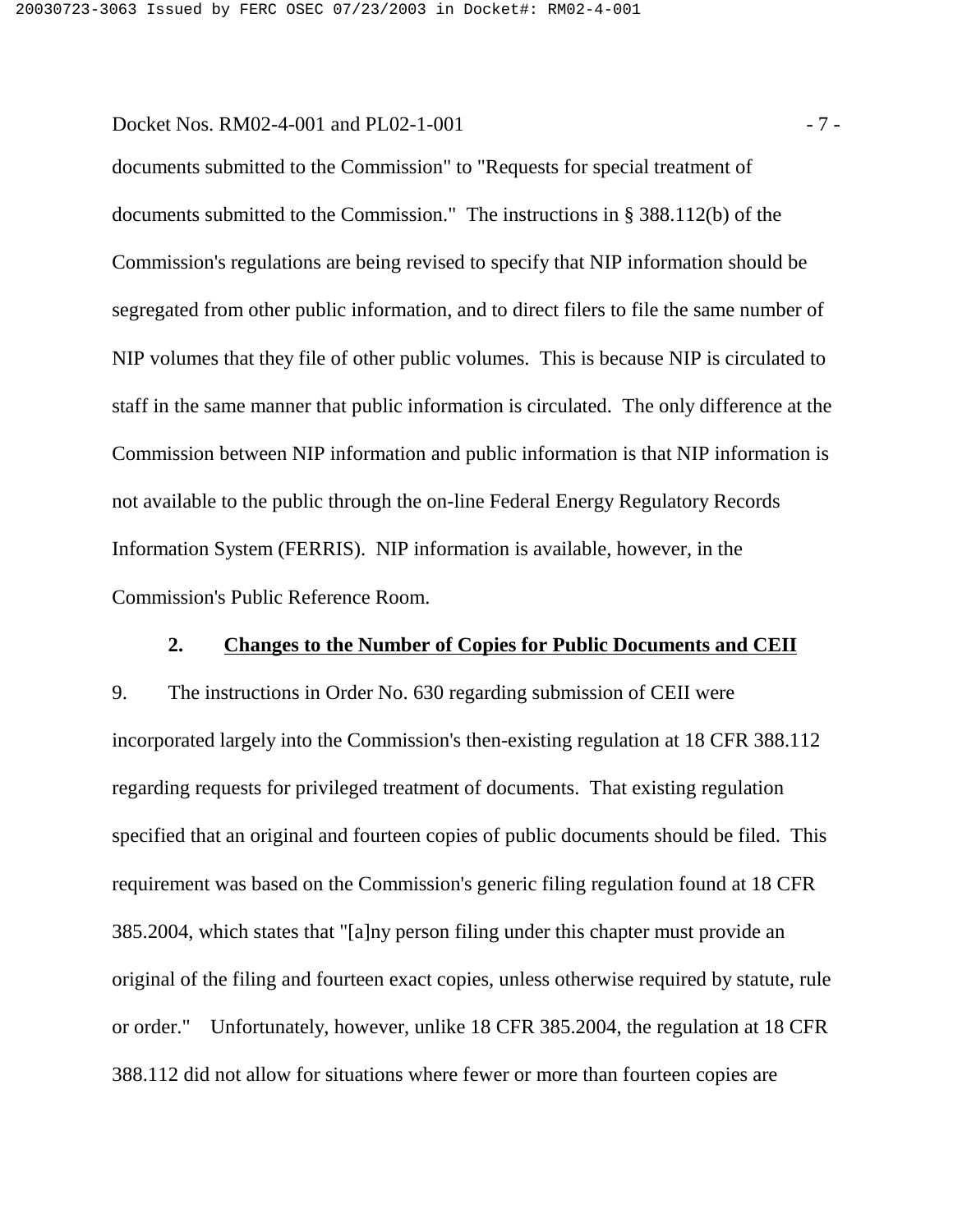Docket Nos. RM02-4-001 and PL02-1-001 - 7 -

documents submitted to the Commission" to "Requests for special treatment of documents submitted to the Commission." The instructions in § 388.112(b) of the Commission's regulations are being revised to specify that NIP information should be segregated from other public information, and to direct filers to file the same number of NIP volumes that they file of other public volumes. This is because NIP is circulated to staff in the same manner that public information is circulated. The only difference at the Commission between NIP information and public information is that NIP information is not available to the public through the on-line Federal Energy Regulatory Records Information System (FERRIS). NIP information is available, however, in the Commission's Public Reference Room.

#### **2. Changes to the Number of Copies for Public Documents and CEII**

9. The instructions in Order No. 630 regarding submission of CEII were incorporated largely into the Commission's then-existing regulation at 18 CFR 388.112 regarding requests for privileged treatment of documents. That existing regulation specified that an original and fourteen copies of public documents should be filed. This requirement was based on the Commission's generic filing regulation found at 18 CFR 385.2004, which states that "[a]ny person filing under this chapter must provide an original of the filing and fourteen exact copies, unless otherwise required by statute, rule or order." Unfortunately, however, unlike 18 CFR 385.2004, the regulation at 18 CFR 388.112 did not allow for situations where fewer or more than fourteen copies are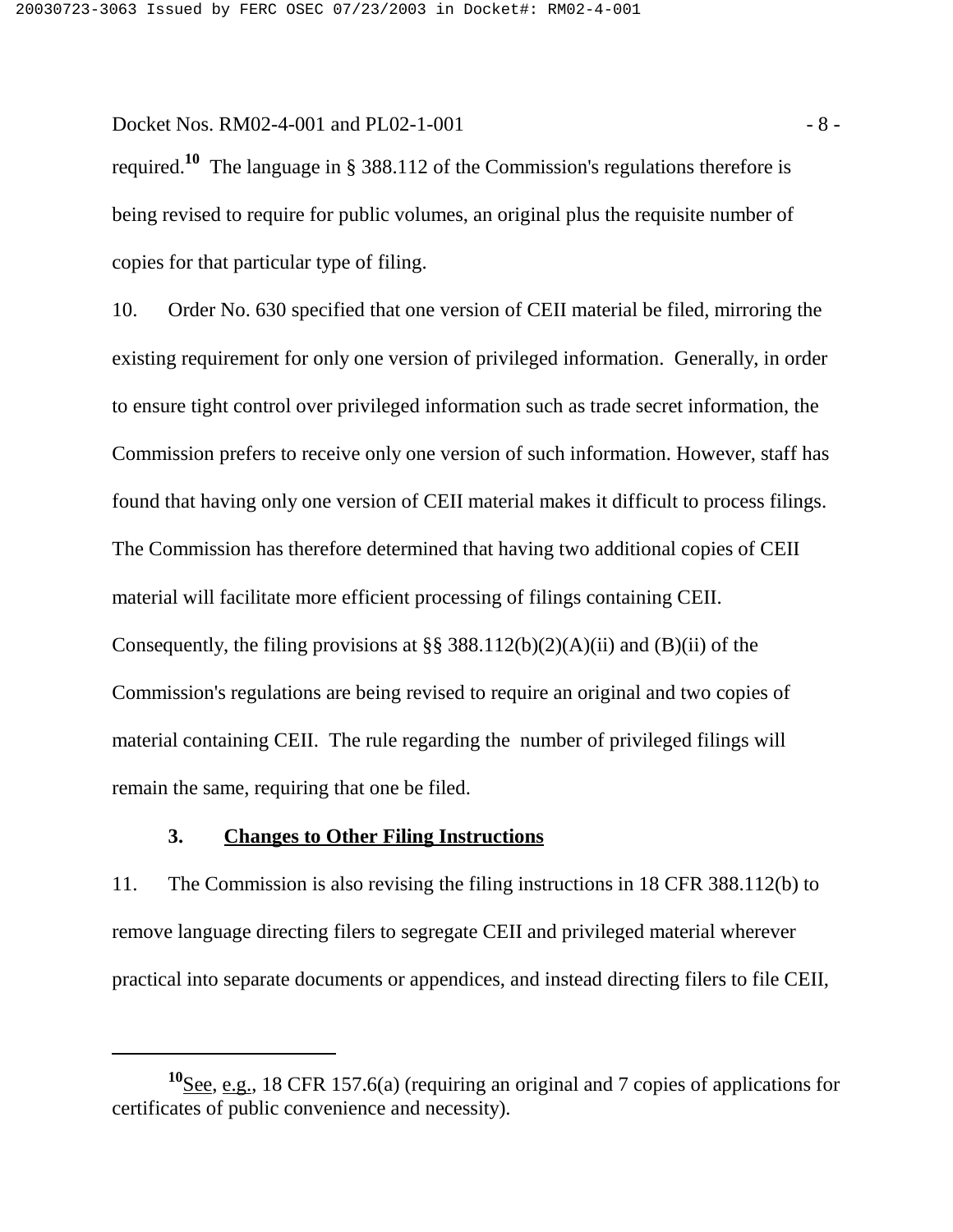Docket Nos. RM02-4-001 and PL02-1-001 - 8 -

required.**10** The language in § 388.112 of the Commission's regulations therefore is being revised to require for public volumes, an original plus the requisite number of copies for that particular type of filing.

10. Order No. 630 specified that one version of CEII material be filed, mirroring the existing requirement for only one version of privileged information. Generally, in order to ensure tight control over privileged information such as trade secret information, the Commission prefers to receive only one version of such information. However, staff has found that having only one version of CEII material makes it difficult to process filings. The Commission has therefore determined that having two additional copies of CEII material will facilitate more efficient processing of filings containing CEII. Consequently, the filing provisions at  $\S$ § 388.112(b)(2)(A)(ii) and (B)(ii) of the Commission's regulations are being revised to require an original and two copies of material containing CEII. The rule regarding the number of privileged filings will remain the same, requiring that one be filed.

#### **3. Changes to Other Filing Instructions**

11. The Commission is also revising the filing instructions in 18 CFR 388.112(b) to remove language directing filers to segregate CEII and privileged material wherever practical into separate documents or appendices, and instead directing filers to file CEII,

**<sup>10</sup>**See, e.g., 18 CFR 157.6(a) (requiring an original and 7 copies of applications for certificates of public convenience and necessity).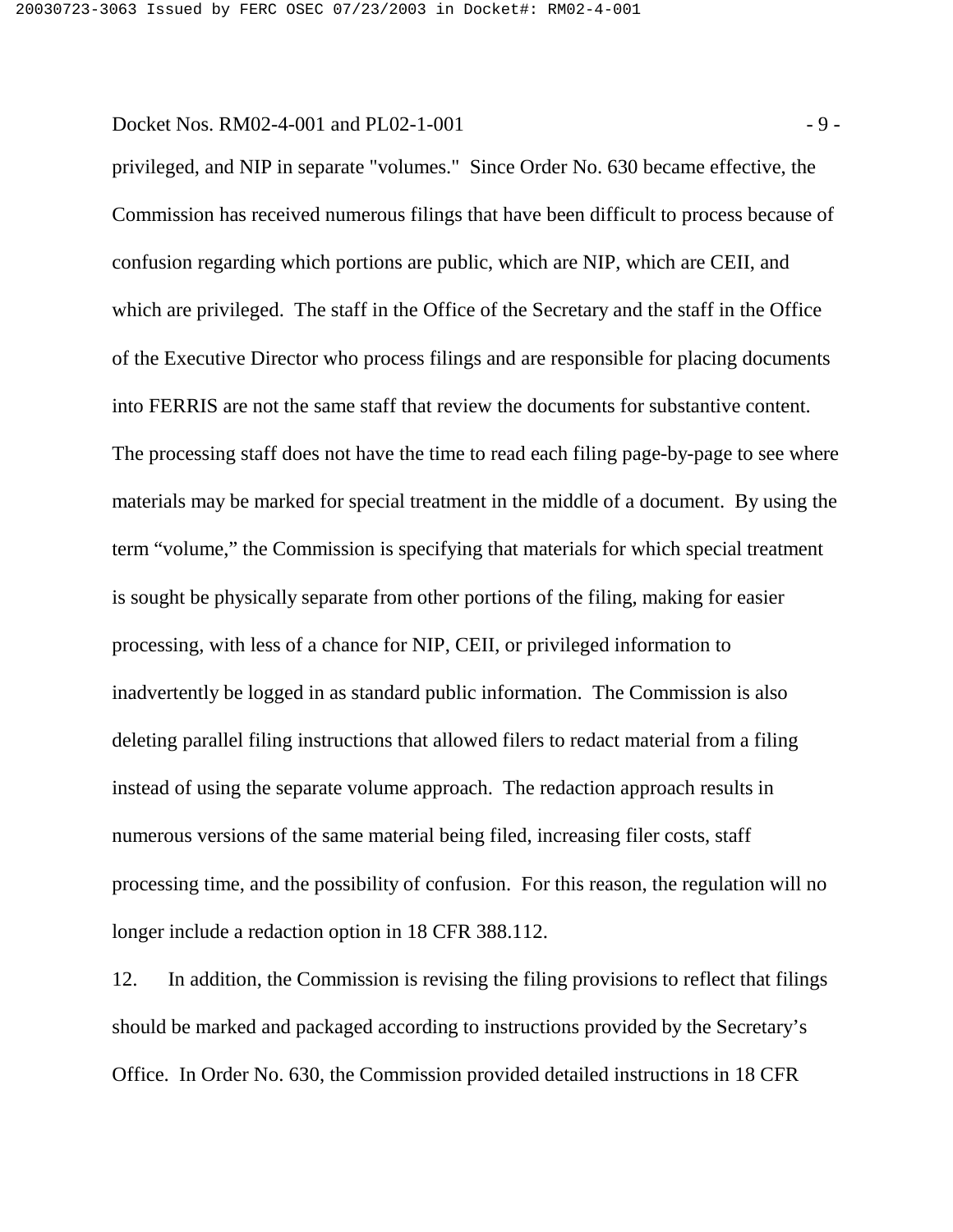Docket Nos. RM02-4-001 and PL02-1-001 - 9 -

privileged, and NIP in separate "volumes." Since Order No. 630 became effective, the Commission has received numerous filings that have been difficult to process because of confusion regarding which portions are public, which are NIP, which are CEII, and which are privileged. The staff in the Office of the Secretary and the staff in the Office of the Executive Director who process filings and are responsible for placing documents into FERRIS are not the same staff that review the documents for substantive content. The processing staff does not have the time to read each filing page-by-page to see where materials may be marked for special treatment in the middle of a document. By using the term "volume," the Commission is specifying that materials for which special treatment is sought be physically separate from other portions of the filing, making for easier processing, with less of a chance for NIP, CEII, or privileged information to inadvertently be logged in as standard public information. The Commission is also deleting parallel filing instructions that allowed filers to redact material from a filing instead of using the separate volume approach. The redaction approach results in numerous versions of the same material being filed, increasing filer costs, staff processing time, and the possibility of confusion. For this reason, the regulation will no longer include a redaction option in 18 CFR 388.112.

12. In addition, the Commission is revising the filing provisions to reflect that filings should be marked and packaged according to instructions provided by the Secretary's Office. In Order No. 630, the Commission provided detailed instructions in 18 CFR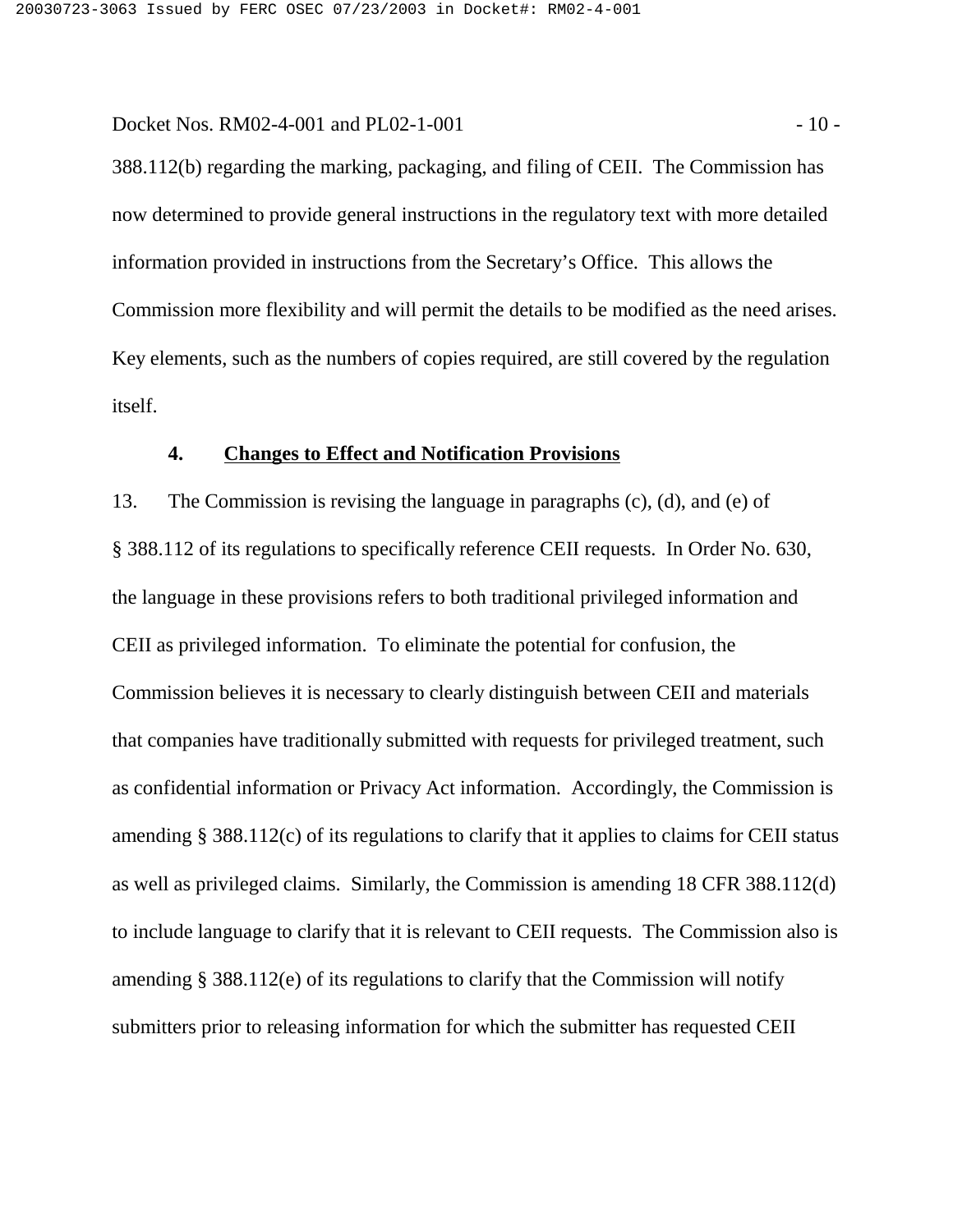Docket Nos. RM02-4-001 and PL02-1-001 - 10 -

388.112(b) regarding the marking, packaging, and filing of CEII. The Commission has now determined to provide general instructions in the regulatory text with more detailed information provided in instructions from the Secretary's Office. This allows the Commission more flexibility and will permit the details to be modified as the need arises. Key elements, such as the numbers of copies required, are still covered by the regulation itself.

### **4. Changes to Effect and Notification Provisions**

13. The Commission is revising the language in paragraphs (c), (d), and (e) of § 388.112 of its regulations to specifically reference CEII requests. In Order No. 630, the language in these provisions refers to both traditional privileged information and CEII as privileged information. To eliminate the potential for confusion, the Commission believes it is necessary to clearly distinguish between CEII and materials that companies have traditionally submitted with requests for privileged treatment, such as confidential information or Privacy Act information. Accordingly, the Commission is amending § 388.112(c) of its regulations to clarify that it applies to claims for CEII status as well as privileged claims. Similarly, the Commission is amending 18 CFR 388.112(d) to include language to clarify that it is relevant to CEII requests. The Commission also is amending § 388.112(e) of its regulations to clarify that the Commission will notify submitters prior to releasing information for which the submitter has requested CEII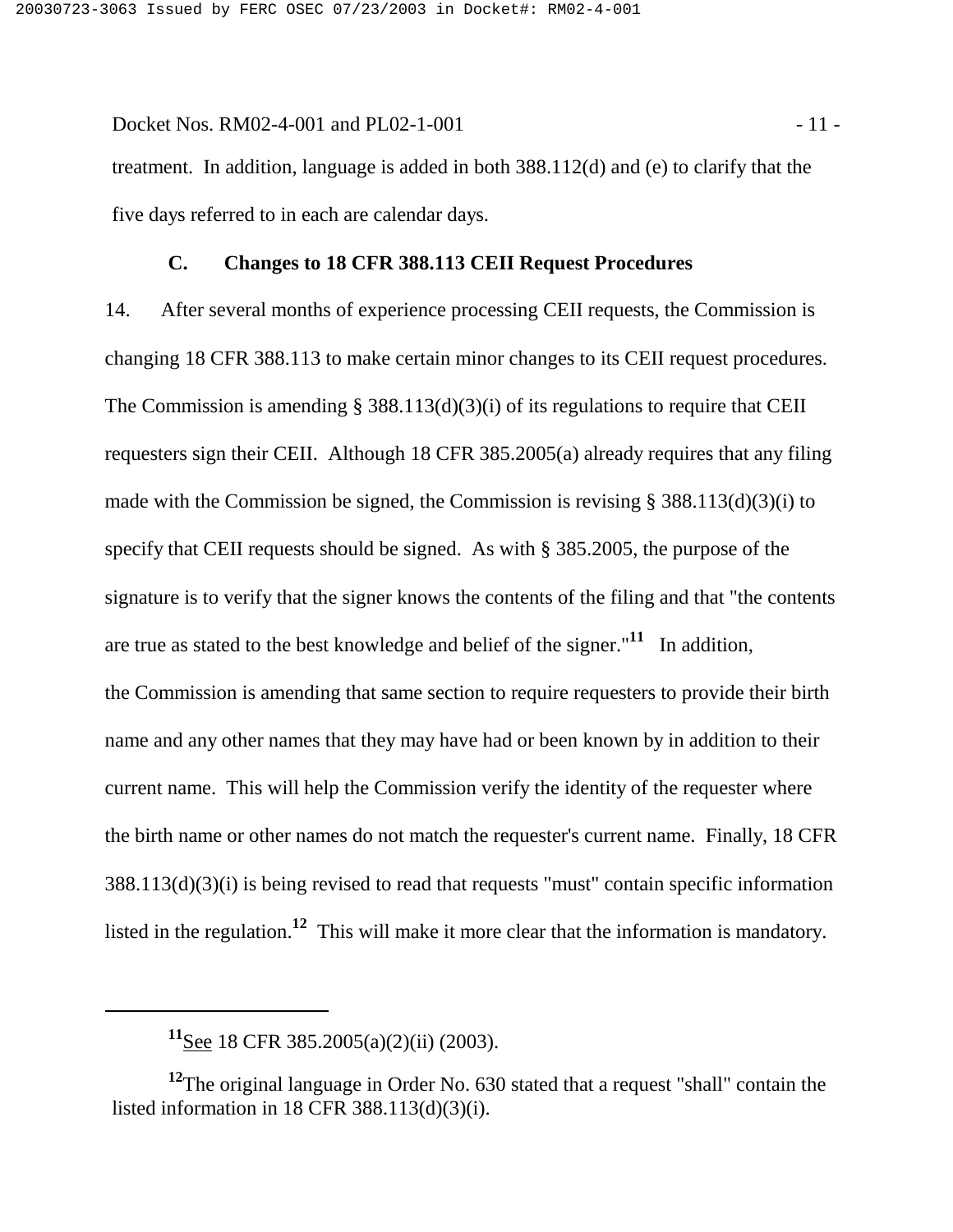Docket Nos. RM02-4-001 and PL02-1-001 - 11 treatment. In addition, language is added in both 388.112(d) and (e) to clarify that the five days referred to in each are calendar days.

#### **C. Changes to 18 CFR 388.113 CEII Request Procedures**

14. After several months of experience processing CEII requests, the Commission is changing 18 CFR 388.113 to make certain minor changes to its CEII request procedures. The Commission is amending  $\S$  388.113(d)(3)(i) of its regulations to require that CEII requesters sign their CEII. Although 18 CFR 385.2005(a) already requires that any filing made with the Commission be signed, the Commission is revising § 388.113(d)(3)(i) to specify that CEII requests should be signed. As with § 385.2005, the purpose of the signature is to verify that the signer knows the contents of the filing and that "the contents are true as stated to the best knowledge and belief of the signer."**11** In addition, the Commission is amending that same section to require requesters to provide their birth name and any other names that they may have had or been known by in addition to their current name. This will help the Commission verify the identity of the requester where the birth name or other names do not match the requester's current name. Finally, 18 CFR 388.113(d)(3)(i) is being revised to read that requests "must" contain specific information listed in the regulation.**12** This will make it more clear that the information is mandatory.

**<sup>11</sup>**See 18 CFR 385.2005(a)(2)(ii) (2003).

**<sup>12</sup>**The original language in Order No. 630 stated that a request "shall" contain the listed information in 18 CFR 388.113(d)(3)(i).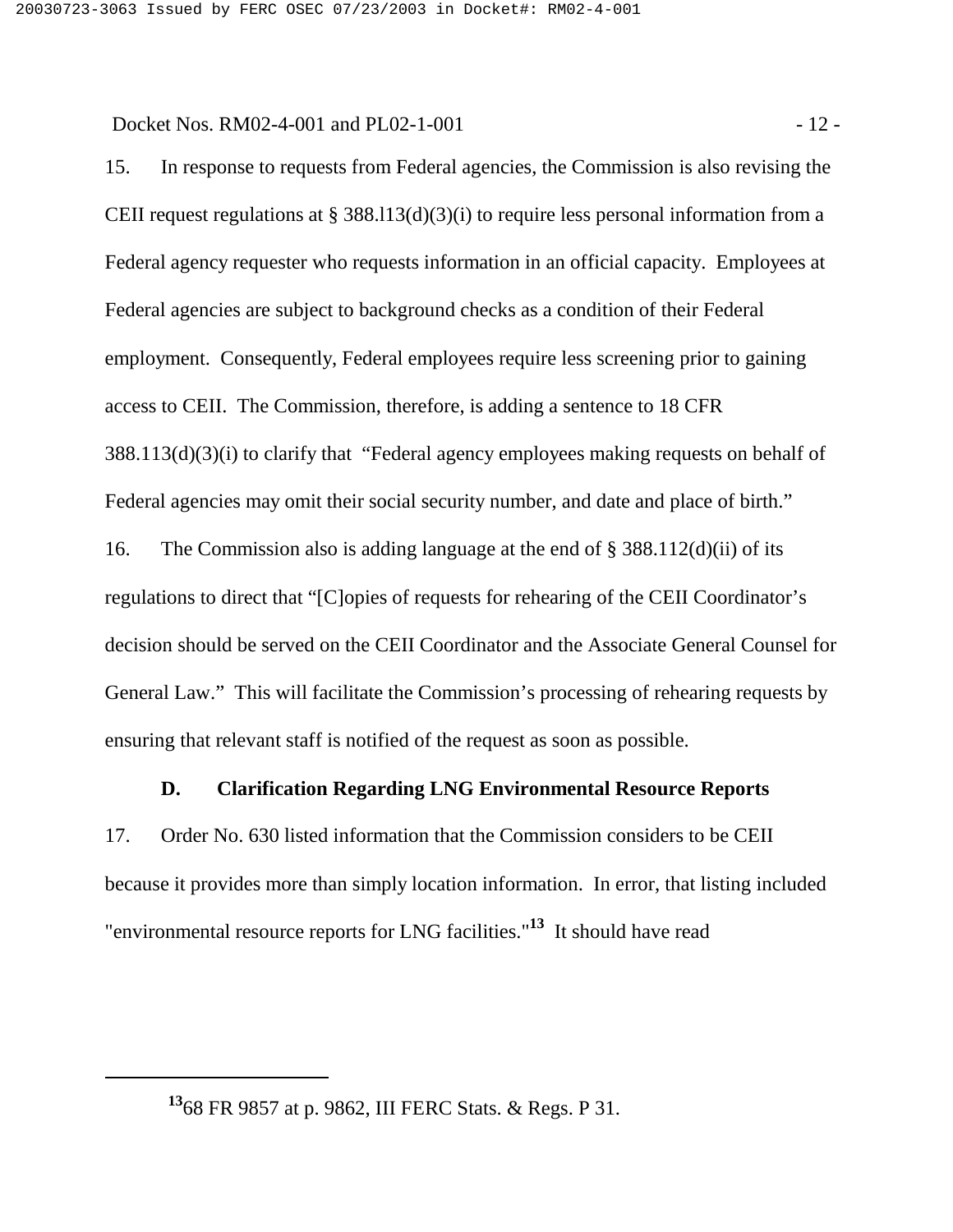Docket Nos. RM02-4-001 and PL02-1-001 - 12 -

15. In response to requests from Federal agencies, the Commission is also revising the CEII request regulations at § 388.113(d)(3)(i) to require less personal information from a Federal agency requester who requests information in an official capacity. Employees at Federal agencies are subject to background checks as a condition of their Federal employment. Consequently, Federal employees require less screening prior to gaining access to CEII. The Commission, therefore, is adding a sentence to 18 CFR 388.113(d)(3)(i) to clarify that "Federal agency employees making requests on behalf of Federal agencies may omit their social security number, and date and place of birth." 16. The Commission also is adding language at the end of § 388.112(d)(ii) of its regulations to direct that "[C]opies of requests for rehearing of the CEII Coordinator's decision should be served on the CEII Coordinator and the Associate General Counsel for

General Law." This will facilitate the Commission's processing of rehearing requests by ensuring that relevant staff is notified of the request as soon as possible.

#### **D. Clarification Regarding LNG Environmental Resource Reports**

17. Order No. 630 listed information that the Commission considers to be CEII because it provides more than simply location information. In error, that listing included "environmental resource reports for LNG facilities."**13** It should have read

**<sup>13</sup>**68 FR 9857 at p. 9862, III FERC Stats. & Regs. P 31.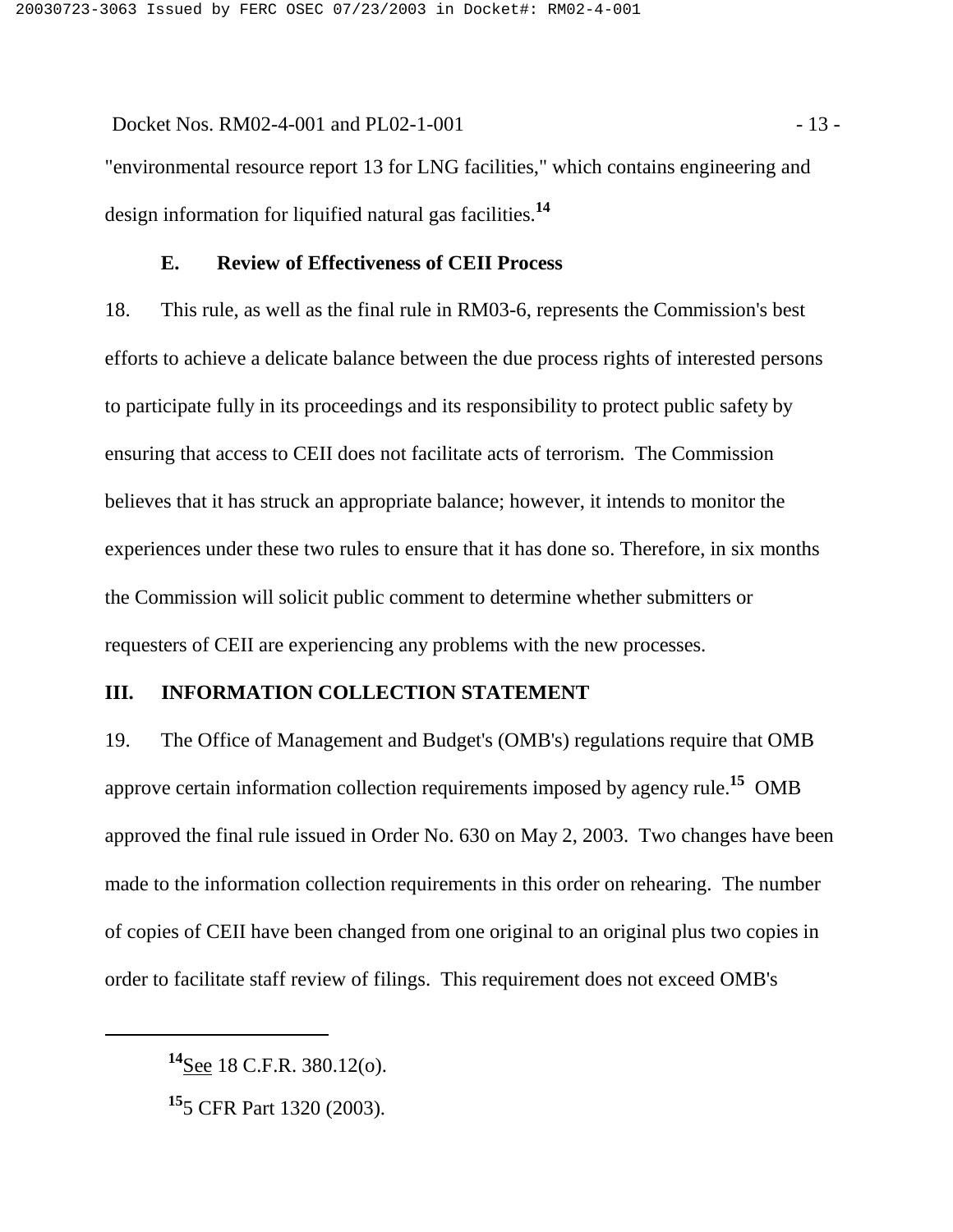Docket Nos. RM02-4-001 and PL02-1-001 - 13 -"environmental resource report 13 for LNG facilities," which contains engineering and design information for liquified natural gas facilities.**<sup>14</sup>**

#### **E. Review of Effectiveness of CEII Process**

18. This rule, as well as the final rule in RM03-6, represents the Commission's best efforts to achieve a delicate balance between the due process rights of interested persons to participate fully in its proceedings and its responsibility to protect public safety by ensuring that access to CEII does not facilitate acts of terrorism. The Commission believes that it has struck an appropriate balance; however, it intends to monitor the experiences under these two rules to ensure that it has done so. Therefore, in six months the Commission will solicit public comment to determine whether submitters or requesters of CEII are experiencing any problems with the new processes.

### **III. INFORMATION COLLECTION STATEMENT**

19. The Office of Management and Budget's (OMB's) regulations require that OMB approve certain information collection requirements imposed by agency rule.**15** OMB approved the final rule issued in Order No. 630 on May 2, 2003. Two changes have been made to the information collection requirements in this order on rehearing. The number of copies of CEII have been changed from one original to an original plus two copies in order to facilitate staff review of filings. This requirement does not exceed OMB's

**<sup>14</sup>**See 18 C.F.R. 380.12(o).

**<sup>15</sup>**5 CFR Part 1320 (2003).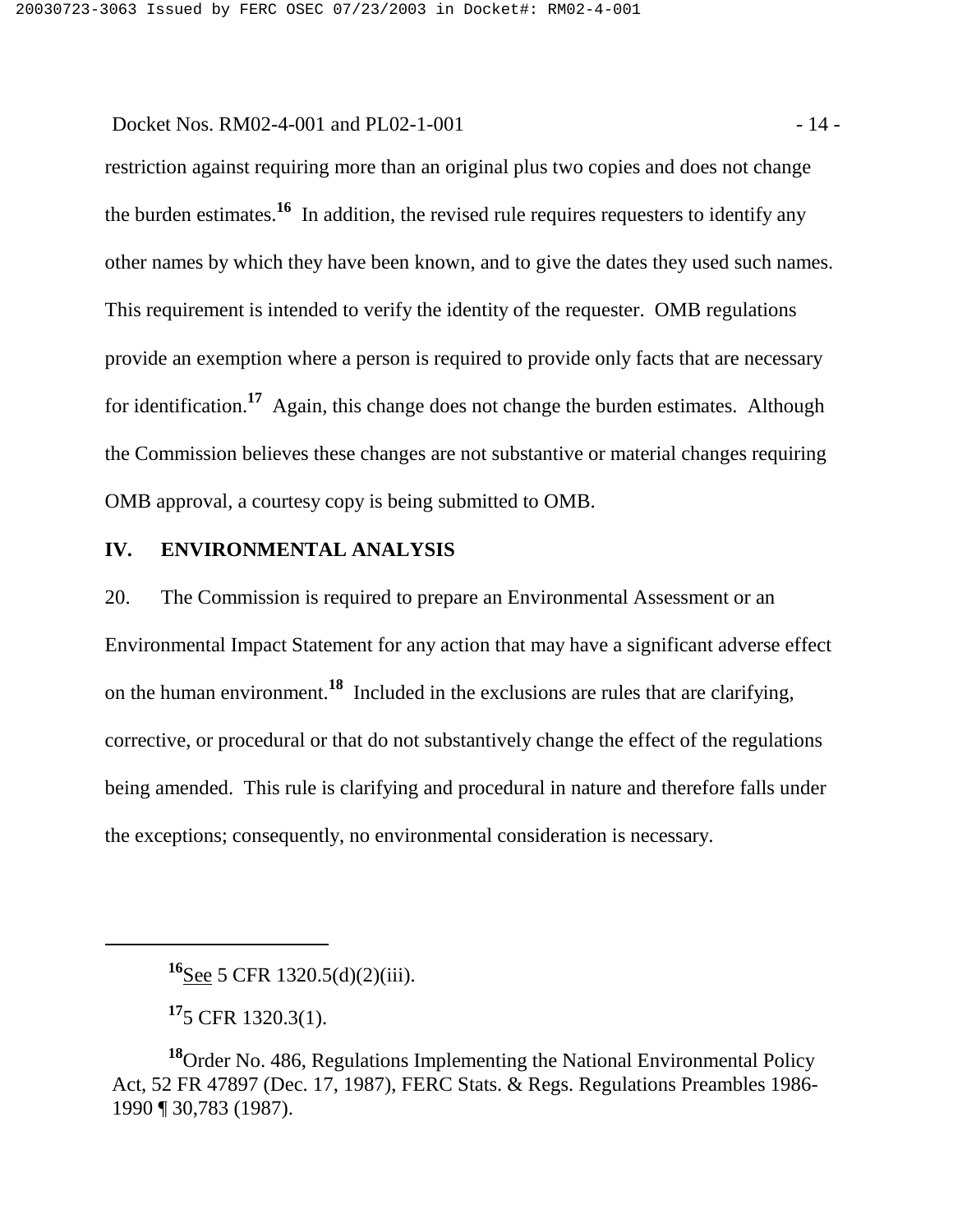Docket Nos. RM02-4-001 and PL02-1-001 - 14 -

restriction against requiring more than an original plus two copies and does not change the burden estimates.**16** In addition, the revised rule requires requesters to identify any other names by which they have been known, and to give the dates they used such names. This requirement is intended to verify the identity of the requester. OMB regulations provide an exemption where a person is required to provide only facts that are necessary for identification.**17** Again, this change does not change the burden estimates. Although the Commission believes these changes are not substantive or material changes requiring OMB approval, a courtesy copy is being submitted to OMB.

## **IV. ENVIRONMENTAL ANALYSIS**

20. The Commission is required to prepare an Environmental Assessment or an Environmental Impact Statement for any action that may have a significant adverse effect on the human environment.**18** Included in the exclusions are rules that are clarifying, corrective, or procedural or that do not substantively change the effect of the regulations being amended. This rule is clarifying and procedural in nature and therefore falls under the exceptions; consequently, no environmental consideration is necessary.

**<sup>16</sup>**See 5 CFR 1320.5(d)(2)(iii).

**<sup>17</sup>**5 CFR 1320.3(1).

**<sup>18</sup>**Order No. 486, Regulations Implementing the National Environmental Policy Act, 52 FR 47897 (Dec. 17, 1987), FERC Stats. & Regs. Regulations Preambles 1986- 1990 ¶ 30,783 (1987).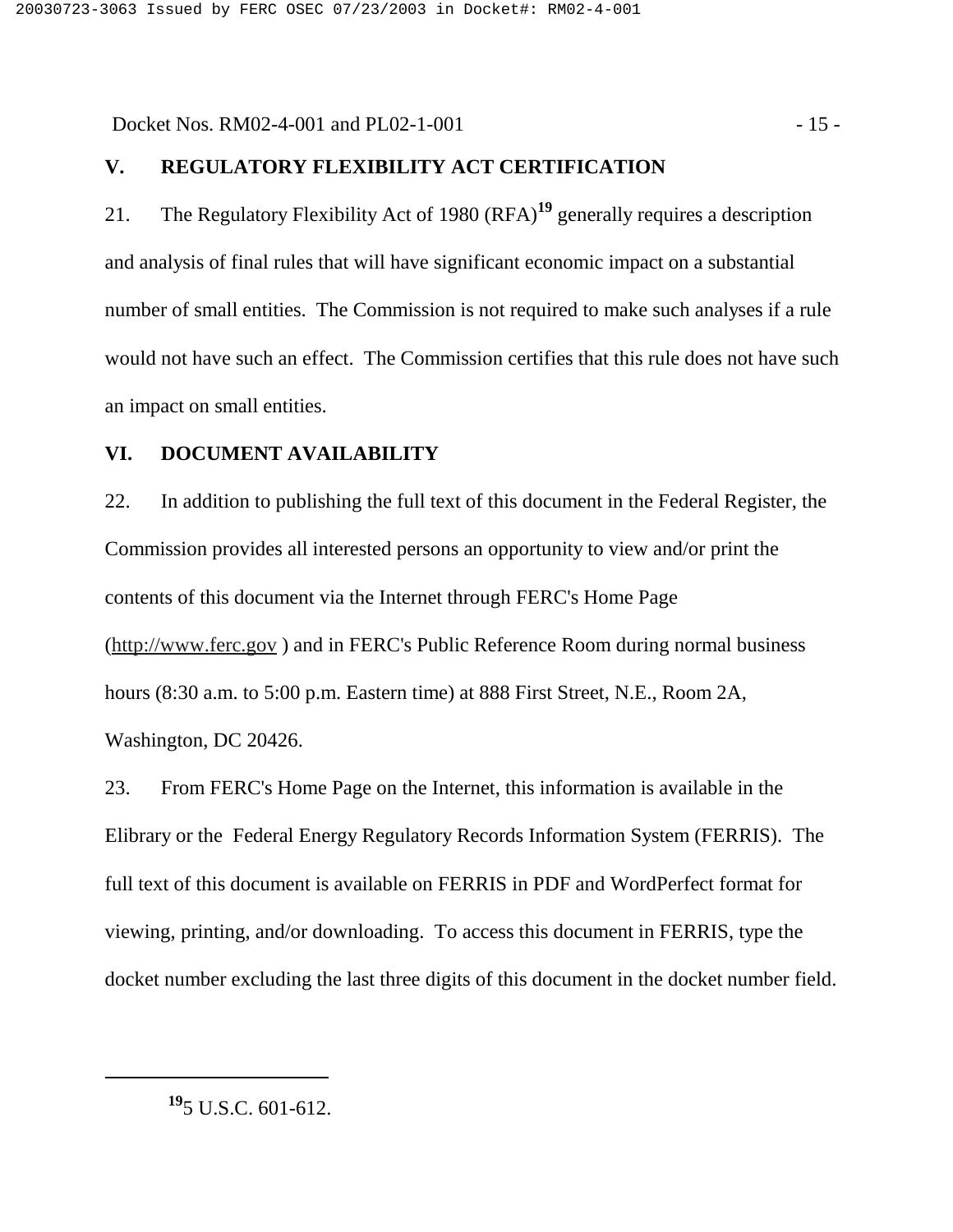Docket Nos. RM02-4-001 and PL02-1-001 - 15 -

### **V. REGULATORY FLEXIBILITY ACT CERTIFICATION**

21. The Regulatory Flexibility Act of 1980 (RFA)**19** generally requires a description and analysis of final rules that will have significant economic impact on a substantial number of small entities. The Commission is not required to make such analyses if a rule would not have such an effect. The Commission certifies that this rule does not have such an impact on small entities.

## **VI. DOCUMENT AVAILABILITY**

22. In addition to publishing the full text of this document in the Federal Register, the Commission provides all interested persons an opportunity to view and/or print the contents of this document via the Internet through FERC's Home Page (http://www.ferc.gov ) and in FERC's Public Reference Room during normal business hours (8:30 a.m. to 5:00 p.m. Eastern time) at 888 First Street, N.E., Room 2A, Washington, DC 20426.

23. From FERC's Home Page on the Internet, this information is available in the Elibrary or the Federal Energy Regulatory Records Information System (FERRIS). The full text of this document is available on FERRIS in PDF and WordPerfect format for viewing, printing, and/or downloading. To access this document in FERRIS, type the docket number excluding the last three digits of this document in the docket number field.

**<sup>19</sup>**5 U.S.C. 601-612.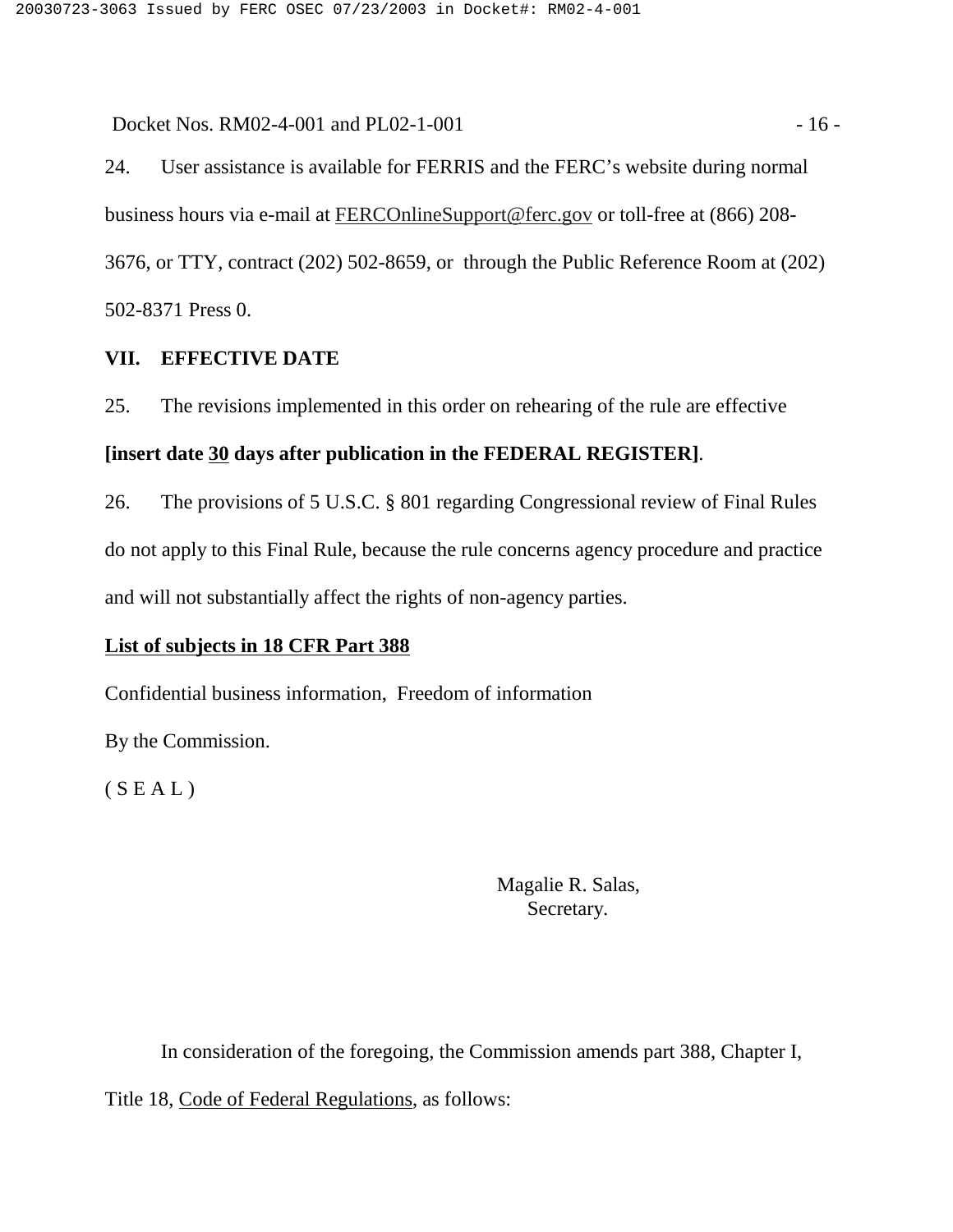Docket Nos. RM02-4-001 and PL02-1-001 - 16 -

24. User assistance is available for FERRIS and the FERC's website during normal business hours via e-mail at FERCOnlineSupport@ferc.gov or toll-free at (866) 208- 3676, or TTY, contract (202) 502-8659, or through the Public Reference Room at (202) 502-8371 Press 0.

## **VII. EFFECTIVE DATE**

25. The revisions implemented in this order on rehearing of the rule are effective

### **[insert date 30 days after publication in the FEDERAL REGISTER]**.

26. The provisions of 5 U.S.C. § 801 regarding Congressional review of Final Rules do not apply to this Final Rule, because the rule concerns agency procedure and practice and will not substantially affect the rights of non-agency parties.

## **List of subjects in 18 CFR Part 388**

Confidential business information, Freedom of information

By the Commission.

 $(S E A L)$ 

Magalie R. Salas, Secretary.

In consideration of the foregoing, the Commission amends part 388, Chapter I,

Title 18, Code of Federal Regulations, as follows: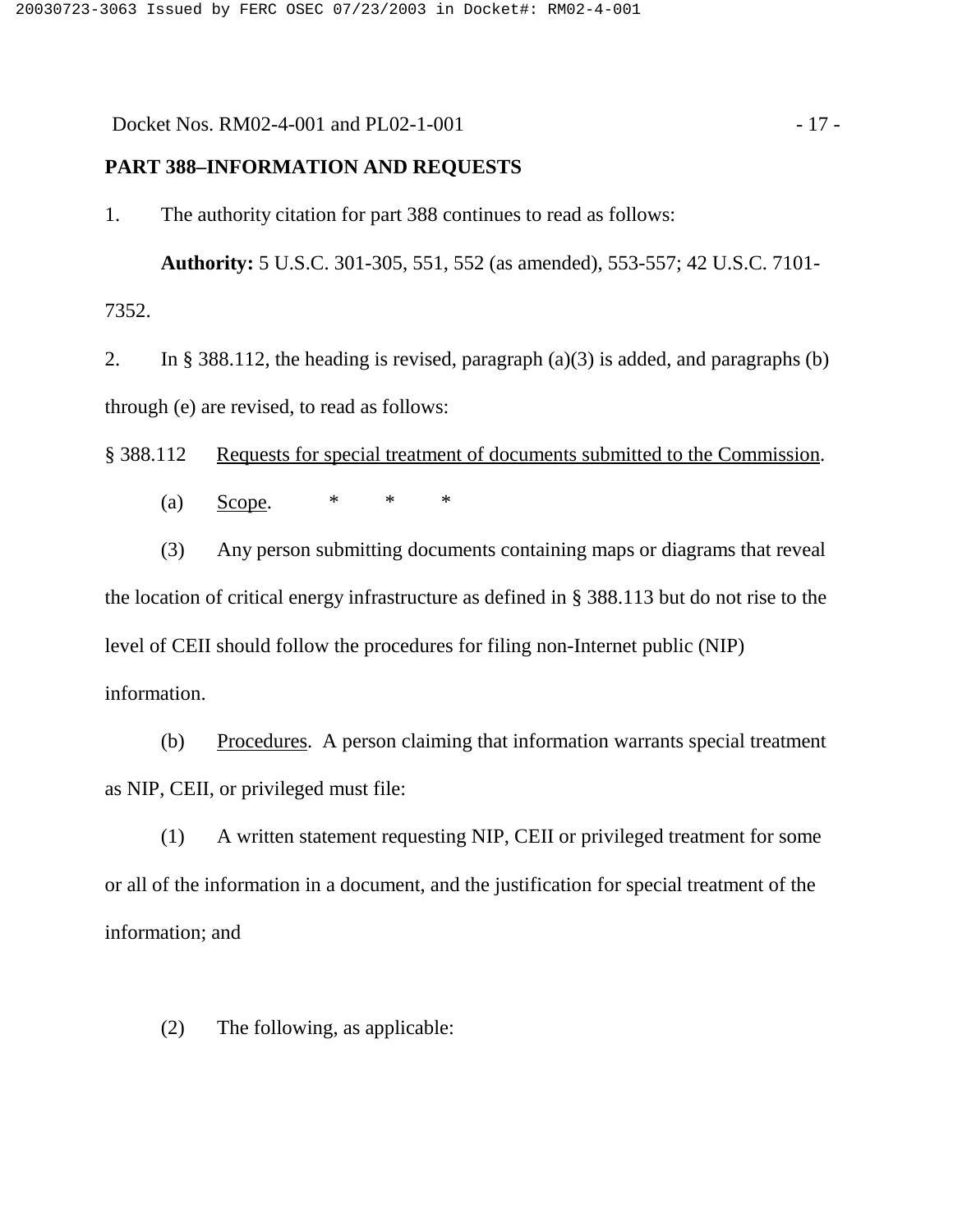Docket Nos. RM02-4-001 and PL02-1-001 - 17 -

#### **PART 388–INFORMATION AND REQUESTS**

1. The authority citation for part 388 continues to read as follows:

**Authority:** 5 U.S.C. 301-305, 551, 552 (as amended), 553-557; 42 U.S.C. 7101- 7352.

2. In § 388.112, the heading is revised, paragraph  $(a)(3)$  is added, and paragraphs (b) through (e) are revised, to read as follows:

§ 388.112 Requests for special treatment of documents submitted to the Commission.

(a) <u>Scope</u>.  $* * * * *$ 

(3) Any person submitting documents containing maps or diagrams that reveal the location of critical energy infrastructure as defined in § 388.113 but do not rise to the level of CEII should follow the procedures for filing non-Internet public (NIP) information.

(b) Procedures. A person claiming that information warrants special treatment as NIP, CEII, or privileged must file:

(1) A written statement requesting NIP, CEII or privileged treatment for some or all of the information in a document, and the justification for special treatment of the information; and

(2) The following, as applicable: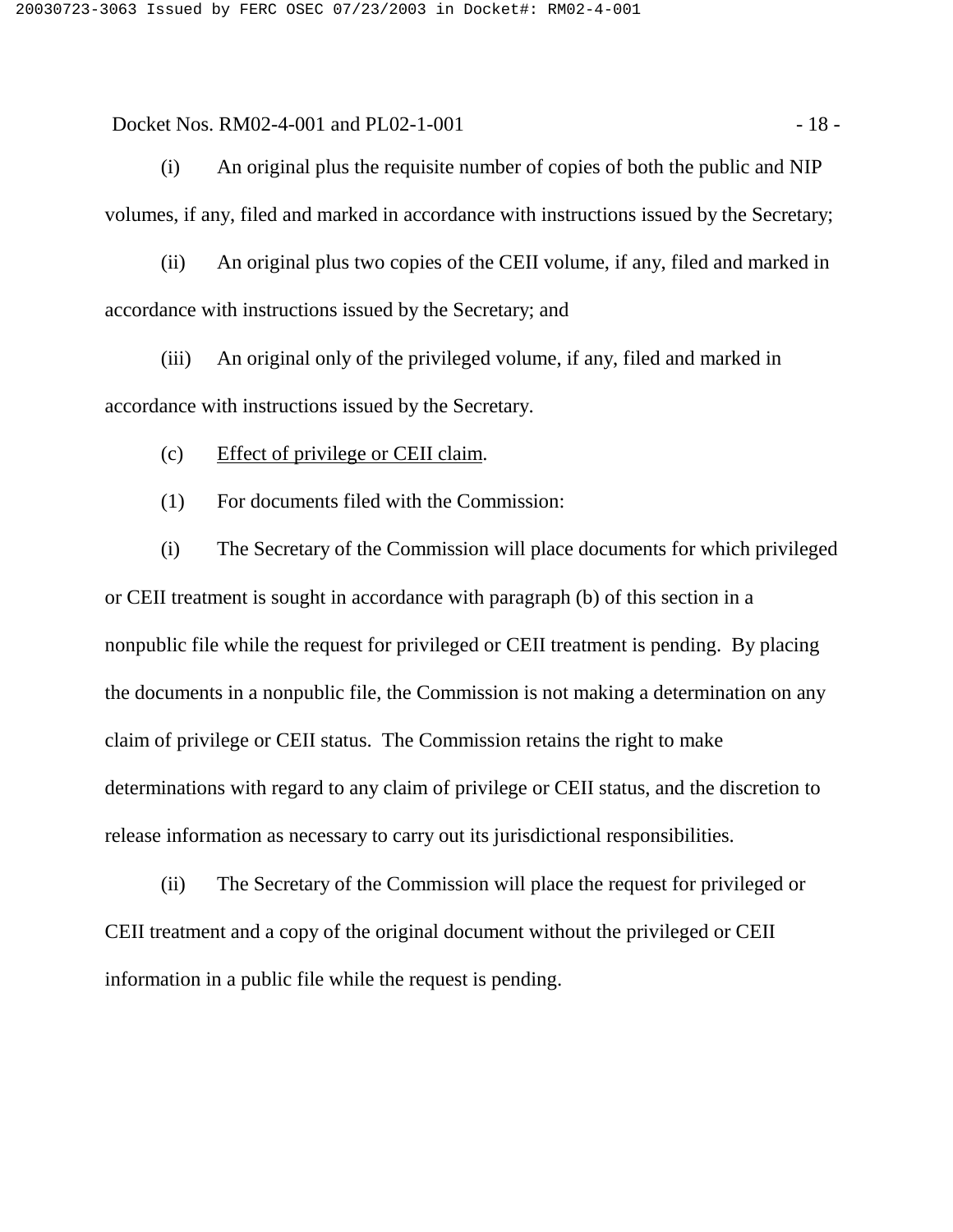Docket Nos. RM02-4-001 and PL02-1-001 - 18 -

(i) An original plus the requisite number of copies of both the public and NIP volumes, if any, filed and marked in accordance with instructions issued by the Secretary;

(ii) An original plus two copies of the CEII volume, if any, filed and marked in accordance with instructions issued by the Secretary; and

(iii) An original only of the privileged volume, if any, filed and marked in accordance with instructions issued by the Secretary.

(c) Effect of privilege or CEII claim.

(1) For documents filed with the Commission:

(i) The Secretary of the Commission will place documents for which privileged or CEII treatment is sought in accordance with paragraph (b) of this section in a nonpublic file while the request for privileged or CEII treatment is pending. By placing the documents in a nonpublic file, the Commission is not making a determination on any claim of privilege or CEII status. The Commission retains the right to make determinations with regard to any claim of privilege or CEII status, and the discretion to release information as necessary to carry out its jurisdictional responsibilities.

(ii) The Secretary of the Commission will place the request for privileged or CEII treatment and a copy of the original document without the privileged or CEII information in a public file while the request is pending.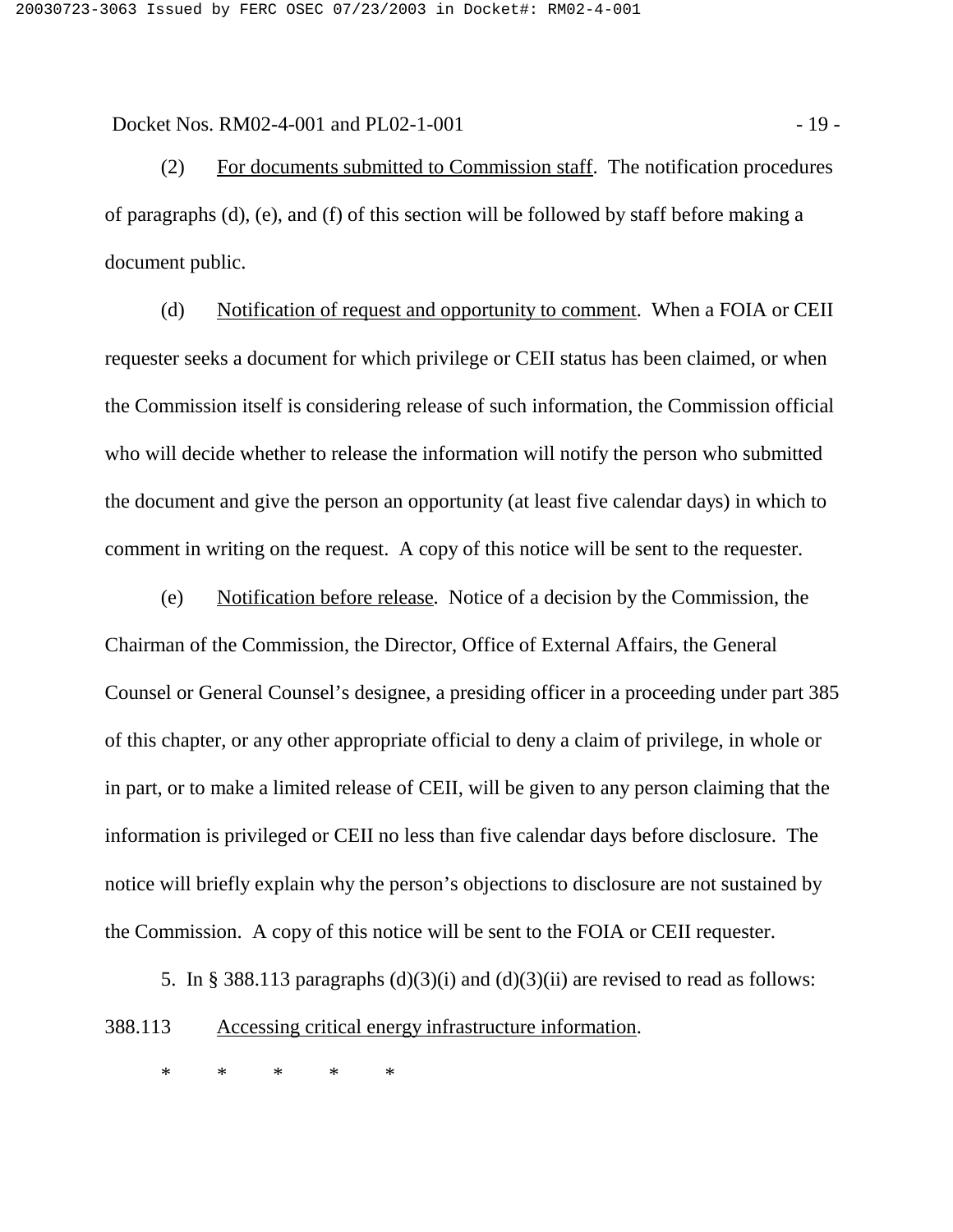Docket Nos. RM02-4-001 and PL02-1-001 - 19 -

(2) For documents submitted to Commission staff. The notification procedures of paragraphs (d), (e), and (f) of this section will be followed by staff before making a document public.

(d) Notification of request and opportunity to comment. When a FOIA or CEII requester seeks a document for which privilege or CEII status has been claimed, or when the Commission itself is considering release of such information, the Commission official who will decide whether to release the information will notify the person who submitted the document and give the person an opportunity (at least five calendar days) in which to comment in writing on the request. A copy of this notice will be sent to the requester.

(e) Notification before release. Notice of a decision by the Commission, the Chairman of the Commission, the Director, Office of External Affairs, the General Counsel or General Counsel's designee, a presiding officer in a proceeding under part 385 of this chapter, or any other appropriate official to deny a claim of privilege, in whole or in part, or to make a limited release of CEII, will be given to any person claiming that the information is privileged or CEII no less than five calendar days before disclosure. The notice will briefly explain why the person's objections to disclosure are not sustained by the Commission. A copy of this notice will be sent to the FOIA or CEII requester.

5. In § 388.113 paragraphs  $(d)(3)(i)$  and  $(d)(3)(ii)$  are revised to read as follows: 388.113 Accessing critical energy infrastructure information.

\*\*\*\*\*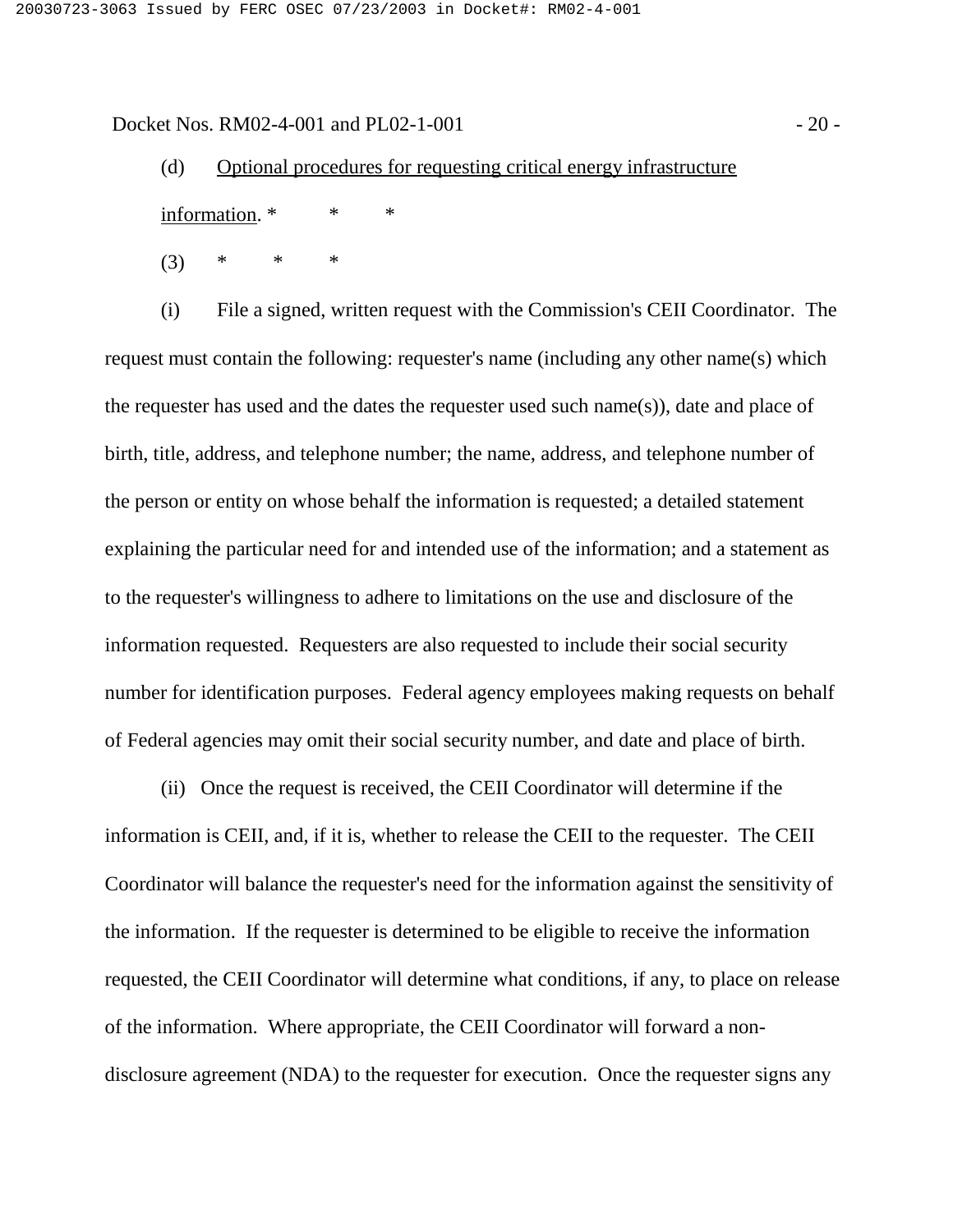Docket Nos. RM02-4-001 and PL02-1-001 - 20 -

(d) Optional procedures for requesting critical energy infrastructure information. \* \* \*

 $(3)$  \* \* \*

(i) File a signed, written request with the Commission's CEII Coordinator. The request must contain the following: requester's name (including any other name(s) which the requester has used and the dates the requester used such name(s)), date and place of birth, title, address, and telephone number; the name, address, and telephone number of the person or entity on whose behalf the information is requested; a detailed statement explaining the particular need for and intended use of the information; and a statement as to the requester's willingness to adhere to limitations on the use and disclosure of the information requested. Requesters are also requested to include their social security number for identification purposes. Federal agency employees making requests on behalf of Federal agencies may omit their social security number, and date and place of birth.

(ii) Once the request is received, the CEII Coordinator will determine if the information is CEII, and, if it is, whether to release the CEII to the requester. The CEII Coordinator will balance the requester's need for the information against the sensitivity of the information. If the requester is determined to be eligible to receive the information requested, the CEII Coordinator will determine what conditions, if any, to place on release of the information. Where appropriate, the CEII Coordinator will forward a nondisclosure agreement (NDA) to the requester for execution. Once the requester signs any